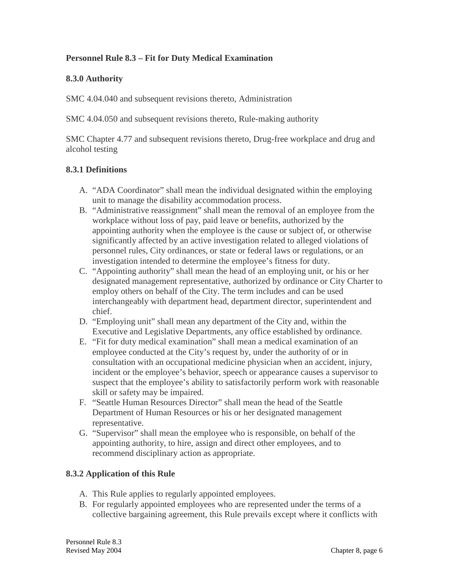# **Personnel Rule 8.3 – Fit for Duty Medical Examination**

### **8.3.0 Authority**

SMC 4.04.040 and subsequent revisions thereto, Administration

SMC 4.04.050 and subsequent revisions thereto, Rule-making authority

SMC Chapter 4.77 and subsequent revisions thereto, Drug-free workplace and drug and alcohol testing

### **8.3.1 Definitions**

- A. "ADA Coordinator" shall mean the individual designated within the employing unit to manage the disability accommodation process.
- B. "Administrative reassignment" shall mean the removal of an employee from the workplace without loss of pay, paid leave or benefits, authorized by the appointing authority when the employee is the cause or subject of, or otherwise significantly affected by an active investigation related to alleged violations of personnel rules, City ordinances, or state or federal laws or regulations, or an investigation intended to determine the employee's fitness for duty.
- C. "Appointing authority" shall mean the head of an employing unit, or his or her designated management representative, authorized by ordinance or City Charter to employ others on behalf of the City. The term includes and can be used interchangeably with department head, department director, superintendent and chief.
- D. "Employing unit" shall mean any department of the City and, within the Executive and Legislative Departments, any office established by ordinance.
- E. "Fit for duty medical examination" shall mean a medical examination of an employee conducted at the City's request by, under the authority of or in consultation with an occupational medicine physician when an accident, injury, incident or the employee's behavior, speech or appearance causes a supervisor to suspect that the employee's ability to satisfactorily perform work with reasonable skill or safety may be impaired.
- F. "Seattle Human Resources Director" shall mean the head of the Seattle Department of Human Resources or his or her designated management representative.
- G. "Supervisor" shall mean the employee who is responsible, on behalf of the appointing authority, to hire, assign and direct other employees, and to recommend disciplinary action as appropriate.

### **8.3.2 Application of this Rule**

- A. This Rule applies to regularly appointed employees.
- B. For regularly appointed employees who are represented under the terms of a collective bargaining agreement, this Rule prevails except where it conflicts with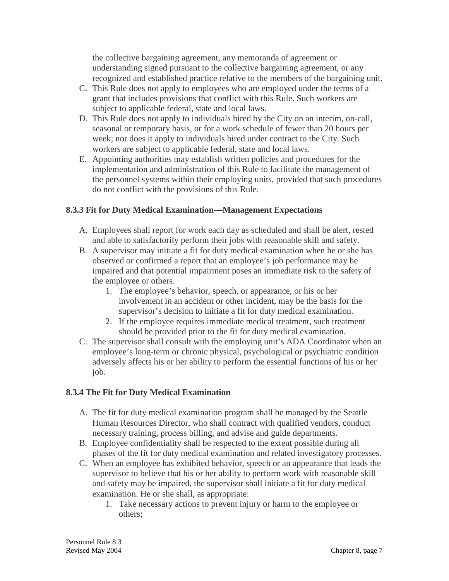the collective bargaining agreement, any memoranda of agreement or understanding signed pursuant to the collective bargaining agreement, or any recognized and established practice relative to the members of the bargaining unit.

- C. This Rule does not apply to employees who are employed under the terms of a grant that includes provisions that conflict with this Rule. Such workers are subject to applicable federal, state and local laws.
- D. This Rule does not apply to individuals hired by the City on an interim, on-call, seasonal or temporary basis, or for a work schedule of fewer than 20 hours per week; nor does it apply to individuals hired under contract to the City. Such workers are subject to applicable federal, state and local laws.
- E. Appointing authorities may establish written policies and procedures for the implementation and administration of this Rule to facilitate the management of the personnel systems within their employing units, provided that such procedures do not conflict with the provisions of this Rule.

# **8.3.3 Fit for Duty Medical Examination—Management Expectations**

- A. Employees shall report for work each day as scheduled and shall be alert, rested and able to satisfactorily perform their jobs with reasonable skill and safety.
- B. A supervisor may initiate a fit for duty medical examination when he or she has observed or confirmed a report that an employee's job performance may be impaired and that potential impairment poses an immediate risk to the safety of the employee or others.
	- 1. The employee's behavior, speech, or appearance, or his or her involvement in an accident or other incident, may be the basis for the supervisor's decision to initiate a fit for duty medical examination.
	- 2. If the employee requires immediate medical treatment, such treatment should be provided prior to the fit for duty medical examination.
- C. The supervisor shall consult with the employing unit's ADA Coordinator when an employee's long-term or chronic physical, psychological or psychiatric condition adversely affects his or her ability to perform the essential functions of his or her job.

### **8.3.4 The Fit for Duty Medical Examination**

- A. The fit for duty medical examination program shall be managed by the Seattle Human Resources Director, who shall contract with qualified vendors, conduct necessary training, process billing, and advise and guide departments.
- B. Employee confidentiality shall be respected to the extent possible during all phases of the fit for duty medical examination and related investigatory processes.
- C. When an employee has exhibited behavior, speech or an appearance that leads the supervisor to believe that his or her ability to perform work with reasonable skill and safety may be impaired, the supervisor shall initiate a fit for duty medical examination. He or she shall, as appropriate:
	- 1. Take necessary actions to prevent injury or harm to the employee or others;